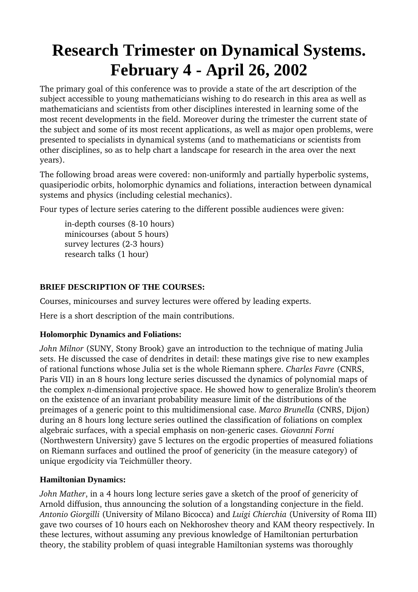# **Research Trimester on Dynamical Systems. February 4 - April 26, 2002**

The primary goal of this conference was to provide a state of the art description of the subject accessible to young mathematicians wishing to do research in this area as well as mathematicians and scientists from other disciplines interested in learning some of the most recent developments in the field. Moreover during the trimester the current state of the subject and some of its most recent applications, as well as major open problems, were presented to specialists in dynamical systems (and to mathematicians or scientists from other disciplines, so as to help chart a landscape for research in the area over the next years).

The following broad areas were covered: non-uniformly and partially hyperbolic systems, quasiperiodic orbits, holomorphic dynamics and foliations, interaction between dynamical systems and physics (including celestial mechanics).

Four types of lecture series catering to the different possible audiences were given:

in-depth courses (8-10 hours) minicourses (about 5 hours) survey lectures (2-3 hours) research talks (1 hour)

### **BRIEF DESCRIPTION OF THE COURSES:**

Courses, minicourses and survey lectures were offered by leading experts.

Here is a short description of the main contributions.

#### **Holomorphic Dynamics and Foliations:**

*John Milnor* (SUNY, Stony Brook) gave an introduction to the technique of mating Julia sets. He discussed the case of dendrites in detail: these matings give rise to new examples of rational functions whose Julia set is the whole Riemann sphere. *Charles Favre* (CNRS, Paris VII) in an 8 hours long lecture series discussed the dynamics of polynomial maps of the complex *n*-dimensional projective space. He showed how to generalize Brolin's theorem on the existence of an invariant probability measure limit of the distributions of the preimages of a generic point to this multidimensional case. *Marco Brunella* (CNRS, Dijon) during an 8 hours long lecture series outlined the classification of foliations on complex algebraic surfaces, with a special emphasis on nongeneric cases. *Giovanni Forni* (Northwestern University) gave 5 lectures on the ergodic properties of measured foliations on Riemann surfaces and outlined the proof of genericity (in the measure category) of unique ergodicity via Teichmüller theory.

#### **Hamiltonian Dynamics:**

*John Mather*, in a 4 hours long lecture series gave a sketch of the proof of genericity of Arnold diffusion, thus announcing the solution of a longstanding conjecture in the field. *Antonio Giorgilli* (University of Milano Bicocca) and *Luigi Chierchia* (University of Roma III) gave two courses of 10 hours each on Nekhoroshev theory and KAM theory respectively. In these lectures, without assuming any previous knowledge of Hamiltonian perturbation theory, the stability problem of quasi integrable Hamiltonian systems was thoroughly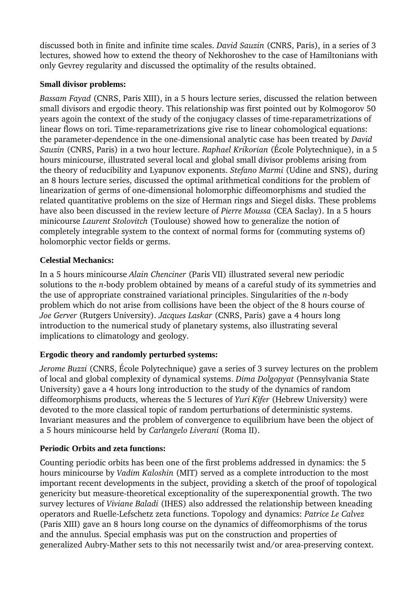discussed both in finite and infinite time scales. *David Sauzin* (CNRS, Paris), in a series of 3 lectures, showed how to extend the theory of Nekhoroshev to the case of Hamiltonians with only Gevrey regularity and discussed the optimality of the results obtained.

#### **Small divisor problems:**

*Bassam Fayad* (CNRS, Paris XIII), in a 5 hours lecture series, discussed the relation between small divisors and ergodic theory. This relationship was first pointed out by Kolmogorov 50 years agoin the context of the study of the conjugacy classes of timereparametrizations of linear flows on tori. Time-reparametrizations give rise to linear cohomological equations: the parameter-dependence in the one-dimensional analytic case has been treated by *David Sauzin* (CNRS, Paris) in a two hour lecture. *Raphael Krikorian* (École Polytechnique), in a 5 hours minicourse, illustrated several local and global small divisor problems arising from the theory of reducibility and Lyapunov exponents. *Stefano Marmi* (Udine and SNS), during an 8 hours lecture series, discussed the optimal arithmetical conditions for the problem of linearization of germs of one-dimensional holomorphic diffeomorphisms and studied the related quantitative problems on the size of Herman rings and Siegel disks. These problems have also been discussed in the review lecture of *Pierre Moussa* (CEA Saclay). In a 5 hours minicourse *Laurent Stolovitch* (Toulouse) showed how to generalize the notion of completely integrable system to the context of normal forms for (commuting systems of) holomorphic vector fields or germs.

### **Celestial Mechanics:**

In a 5 hours minicourse *Alain Chenciner* (Paris VII) illustrated several new periodic solutions to the *n*-body problem obtained by means of a careful study of its symmetries and the use of appropriate constrained variational principles. Singularities of the *n*-body problem which do not arise from collisions have been the object of the 8 hours course of *Joe Gerver* (Rutgers University). *Jacques Laskar* (CNRS, Paris) gave a 4 hours long introduction to the numerical study of planetary systems, also illustrating several implications to climatology and geology.

# **Ergodic theory and randomly perturbed systems:**

*Jerome Buzzi* (CNRS, École Polytechnique) gave a series of 3 survey lectures on the problem of local and global complexity of dynamical systems. *Dima Dolgopyat* (Pennsylvania State University) gave a 4 hours long introduction to the study of the dynamics of random diffeomorphisms products, whereas the 5 lectures of *Yuri Kifer* (Hebrew University) were devoted to the more classical topic of random perturbations of deterministic systems. Invariant measures and the problem of convergence to equilibrium have been the object of a 5 hours minicourse held by *Carlangelo Liverani* (Roma II).

# **Periodic Orbits and zeta functions:**

Counting periodic orbits has been one of the first problems addressed in dynamics: the 5 hours minicourse by *Vadim Kaloshin* (MIT) served as a complete introduction to the most important recent developments in the subject, providing a sketch of the proof of topological genericity but measure-theoretical exceptionality of the superexponential growth. The two survey lectures of *Viviane Baladi* (IHES) also addressed the relationship between kneading operators and RuelleLefschetz zeta functions. Topology and dynamics: *Patrice Le Calvez* (Paris XIII) gave an 8 hours long course on the dynamics of diffeomorphisms of the torus and the annulus. Special emphasis was put on the construction and properties of generalized Aubry-Mather sets to this not necessarily twist and/or area-preserving context.